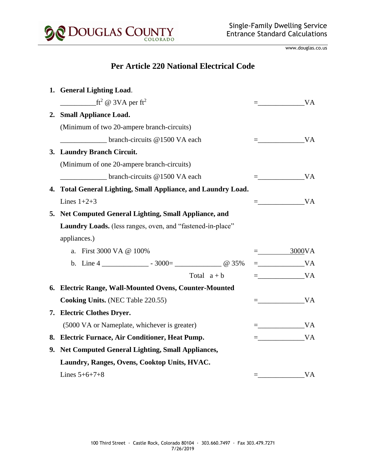

www.douglas.co.us

# **Per Article 220 National Electrical Code**

| 1. General Lighting Load.                                     |            |
|---------------------------------------------------------------|------------|
| $ft^2$ @ 3VA per ft <sup>2</sup>                              | $=$ VA     |
| 2. Small Appliance Load.                                      |            |
| (Minimum of two 20-ampere branch-circuits)                    |            |
| branch-circuits @1500 VA each                                 | $=$ VA     |
| 3. Laundry Branch Circuit.                                    |            |
| (Minimum of one 20-ampere branch-circuits)                    |            |
| branch-circuits @1500 VA each                                 | $=$ VA     |
| 4. Total General Lighting, Small Appliance, and Laundry Load. |            |
| Lines $1+2+3$                                                 | $=$ VA     |
| 5. Net Computed General Lighting, Small Appliance, and        |            |
| Laundry Loads. (less ranges, oven, and "fastened-in-place"    |            |
| appliances.)                                                  |            |
| a. First 3000 VA @ 100%                                       | $=$ 3000VA |
|                                                               | $=$ VA     |
| Total $a + b$                                                 | $=$ VA     |
| 6. Electric Range, Wall-Mounted Ovens, Counter-Mounted        |            |
| Cooking Units. (NEC Table 220.55)                             | $=$ VA     |
| 7. Electric Clothes Dryer.                                    |            |
| (5000 VA or Nameplate, whichever is greater)                  | $=$ VA     |
| 8. Electric Furnace, Air Conditioner, Heat Pump.              | $=$ VA     |
| 9. Net Computed General Lighting, Small Appliances,           |            |
| Laundry, Ranges, Ovens, Cooktop Units, HVAC.                  |            |
| Lines $5+6+7+8$                                               | <b>VA</b>  |